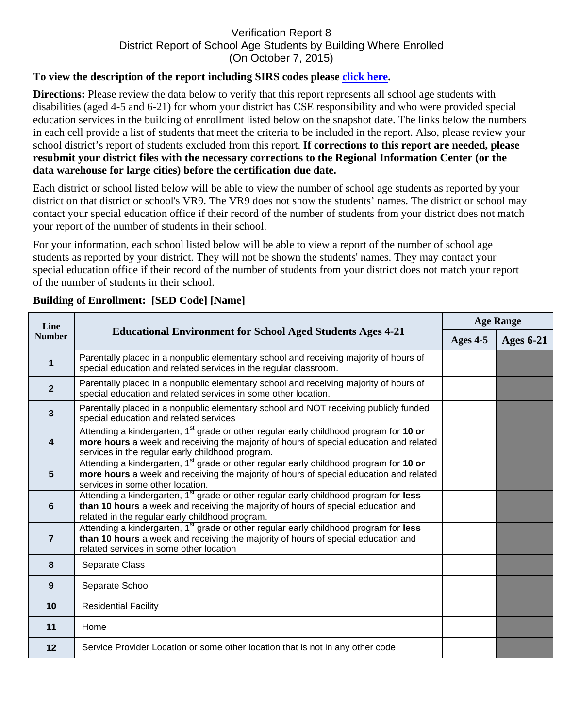## Verification Report 8 District Report of School Age Students by Building Where Enrolled (On October 7, 2015)

## **To view the description of the report including SIRS codes please click here.**

**Directions:** Please review the data below to verify that this report represents all school age students with disabilities (aged 4-5 and 6-21) for whom your district has CSE responsibility and who were provided special education services in the building of enrollment listed below on the snapshot date. The links below the numbers in each cell provide a list of students that meet the criteria to be included in the report. Also, please review your school district's report of students excluded from this report. **If corrections to this report are needed, please resubmit your district files with the necessary corrections to the Regional Information Center (or the data warehouse for large cities) before the certification due date.** 

Each district or school listed below will be able to view the number of school age students as reported by your district on that district or school's VR9. The VR9 does not show the students' names. The district or school may contact your special education office if their record of the number of students from your district does not match your report of the number of students in their school.

For your information, each school listed below will be able to view a report of the number of school age students as reported by your district. They will not be shown the students' names. They may contact your special education office if their record of the number of students from your district does not match your report of the number of students in their school.

| Line<br><b>Number</b> | <b>Educational Environment for School Aged Students Ages 4-21</b>                                                                                                                                                                                | <b>Age Range</b> |                  |
|-----------------------|--------------------------------------------------------------------------------------------------------------------------------------------------------------------------------------------------------------------------------------------------|------------------|------------------|
|                       |                                                                                                                                                                                                                                                  | Ages 4-5         | <b>Ages 6-21</b> |
| $\mathbf 1$           | Parentally placed in a nonpublic elementary school and receiving majority of hours of<br>special education and related services in the regular classroom.                                                                                        |                  |                  |
| $\mathbf{2}$          | Parentally placed in a nonpublic elementary school and receiving majority of hours of<br>special education and related services in some other location.                                                                                          |                  |                  |
| $\mathbf{3}$          | Parentally placed in a nonpublic elementary school and NOT receiving publicly funded<br>special education and related services                                                                                                                   |                  |                  |
| 4                     | Attending a kindergarten, 1 <sup>st</sup> grade or other regular early childhood program for 10 or<br>more hours a week and receiving the majority of hours of special education and related<br>services in the regular early childhood program. |                  |                  |
| $5\phantom{1}$        | Attending a kindergarten, 1 <sup>st</sup> grade or other regular early childhood program for 10 or<br>more hours a week and receiving the majority of hours of special education and related<br>services in some other location.                 |                  |                  |
| $6\phantom{1}$        | Attending a kindergarten, 1 <sup>st</sup> grade or other regular early childhood program for less<br>than 10 hours a week and receiving the majority of hours of special education and<br>related in the regular early childhood program.        |                  |                  |
| $\overline{7}$        | Attending a kindergarten, 1 <sup>st</sup> grade or other regular early childhood program for less<br>than 10 hours a week and receiving the majority of hours of special education and<br>related services in some other location                |                  |                  |
| 8                     | Separate Class                                                                                                                                                                                                                                   |                  |                  |
| $\boldsymbol{9}$      | Separate School                                                                                                                                                                                                                                  |                  |                  |
| 10                    | <b>Residential Facility</b>                                                                                                                                                                                                                      |                  |                  |
| 11                    | Home                                                                                                                                                                                                                                             |                  |                  |
| 12                    | Service Provider Location or some other location that is not in any other code                                                                                                                                                                   |                  |                  |

## **Building of Enrollment: [SED Code] [Name]**